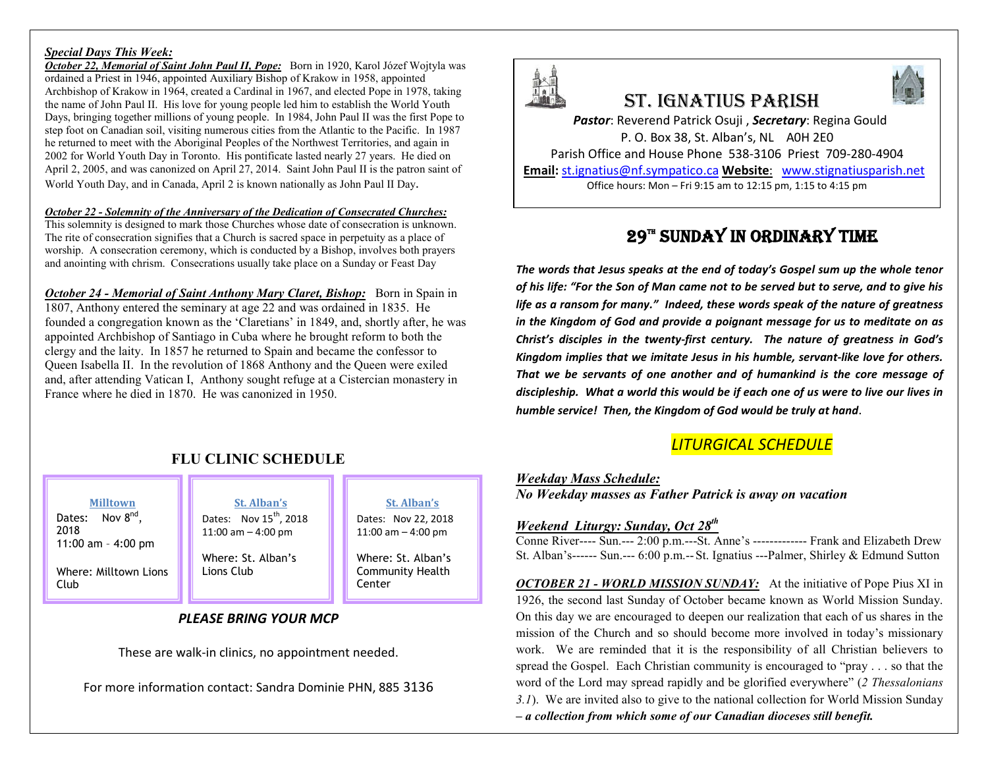#### *Special Days This Week:*

*October 22, Memorial of Saint John Paul II, Pope:* Born in 1920, Karol Józef Wojtyla was ordained a Priest in 1946, appointed Auxiliary Bishop of Krakow in 1958, appointed Archbishop of Krakow in 1964, created a Cardinal in 1967, and elected Pope in 1978, taking the name of John Paul II. His love for young people led him to establish the World Youth Days, bringing together millions of young people. In 1984, John Paul II was the first Pope to step foot on Canadian soil, visiting numerous cities from the Atlantic to the Pacific. In 1987 he returned to meet with the Aboriginal Peoples of the Northwest Territories, and again in 2002 for World Youth Day in Toronto. His pontificate lasted nearly 27 years. He died on April 2, 2005, and was canonized on April 27, 2014. Saint John Paul II is the patron saint of World Youth Day, and in Canada, April 2 is known nationally as John Paul II Day.

#### *October 22 - Solemnity of the Anniversary of the Dedication of Consecrated Churches:*

This solemnity is designed to mark those Churches whose date of consecration is unknown. The rite of consecration signifies that a Church is sacred space in perpetuity as a place of worship. A consecration ceremony, which is conducted by a Bishop, involves both prayers and anointing with chrism. Consecrations usually take place on a Sunday or Feast Day

*October 24 - Memorial of Saint Anthony Mary Claret, Bishop:* Born in Spain in 1807, Anthony entered the seminary at age 22 and was ordained in 1835. He founded a congregation known as the 'Claretians' in 1849, and, shortly after, he was appointed Archbishop of Santiago in Cuba where he brought reform to both the clergy and the laity. In 1857 he returned to Spain and became the confessor to Queen Isabella II. In the revolution of 1868 Anthony and the Queen were exiled and, after attending Vatican I, Anthony sought refuge at a Cistercian monastery in France where he died in 1870. He was canonized in 1950.

## **FLU CLINIC SCHEDULE**

**Milltown** Dates: Nov 8<sup>nd</sup>,

2018 11:00 am – 4:00 pm

Where: Milltown Lions Club

#### **St. Alban's** Dates: Nov  $15^{th}$ , 2018

Where: St. Alban's Lions Club

11:00 am – 4:00 pm

**St. Alban's** Dates: Nov 22, 2018 11:00 am – 4:00 pm

Where: St. Alban's Community Health Center

#### *PLEASE BRING YOUR MCP*

These are walk-in clinics, no appointment needed.

For more information contact: Sandra Dominie PHN, 885 3136



# St. IgnatIuS parISh



*Pastor*: Reverend Patrick Osuji , *Secretary*: Regina Gould P. O. Box 38, St. Alban's, NL A0H 2E0 Parish Office and House Phone 538-3106 Priest 709-280-4904 **Email:** st.ignatius@nf.sympatico.ca **Website**: www.stignatiusparish.net

Office hours: Mon – Fri 9:15 am to 12:15 pm, 1:15 to 4:15 pm

## 29™ SUNDAY IN ORDINARY TIME

*The words that Jesus speaks at the end of today's Gospel sum up the whole tenor of his life: "For the Son of Man came not to be served but to serve, and to give his life as a ransom for many." Indeed, these words speak of the nature of greatness in the Kingdom of God and provide a poignant message for us to meditate on as Christ's disciples in the twenty-first century. The nature of greatness in God's Kingdom implies that we imitate Jesus in his humble, servant-like love for others. That we be servants of one another and of humankind is the core message of discipleship. What a world this would be if each one of us were to live our lives in humble service! Then, the Kingdom of God would be truly at hand*.

## *LITURGICAL SCHEDULE*

*Weekday Mass Schedule: No Weekday masses as Father Patrick is away on vacation*

#### *Weekend Liturgy: Sunday, Oct 28th*

Conne River---- Sun.--- 2:00 p.m.---St. Anne's ------------- Frank and Elizabeth Drew St. Alban's------ Sun.--- 6:00 p.m.--St. Ignatius ---Palmer, Shirley & Edmund Sutton

*OCTOBER 21 - WORLD MISSION SUNDAY:* At the initiative of Pope Pius XI in 1926, the second last Sunday of October became known as World Mission Sunday. On this day we are encouraged to deepen our realization that each of us shares in the mission of the Church and so should become more involved in today's missionary work. We are reminded that it is the responsibility of all Christian believers to spread the Gospel. Each Christian community is encouraged to "pray . . . so that the word of the Lord may spread rapidly and be glorified everywhere" (*2 Thessalonians 3.1*). We are invited also to give to the national collection for World Mission Sunday *– a collection from which some of our Canadian dioceses still benefit.*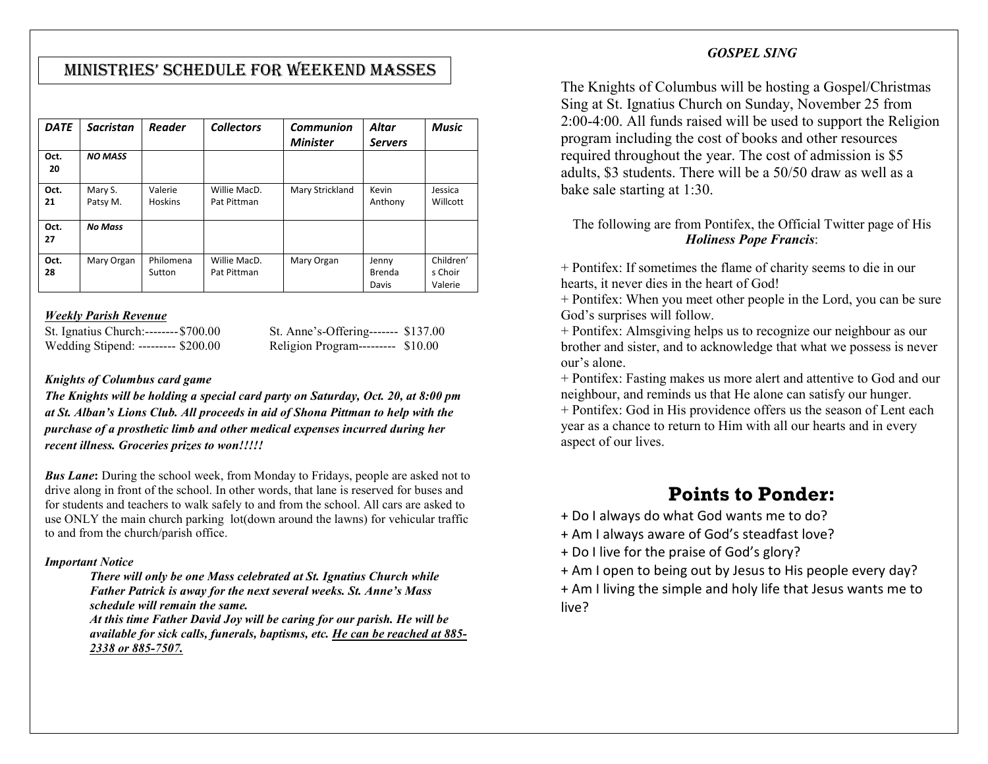### MInIStrIeS' Schedule for Weekend MaSSeS

| <b>DATE</b> | <b>Sacristan</b>    | <b>Reader</b>             | <b>Collectors</b>           | Communion       | Altar                    | <b>Music</b>                    |
|-------------|---------------------|---------------------------|-----------------------------|-----------------|--------------------------|---------------------------------|
| Oct.<br>20  | <b>NO MASS</b>      |                           |                             | <b>Minister</b> | <b>Servers</b>           |                                 |
| Oct.<br>21  | Mary S.<br>Patsy M. | Valerie<br><b>Hoskins</b> | Willie MacD.<br>Pat Pittman | Mary Strickland | Kevin<br>Anthony         | Jessica<br>Willcott             |
| Oct.<br>27  | <b>No Mass</b>      |                           |                             |                 |                          |                                 |
| Oct.<br>28  | Mary Organ          | Philomena<br>Sutton       | Willie MacD.<br>Pat Pittman | Mary Organ      | Jenny<br>Brenda<br>Davis | Children'<br>s Choir<br>Valerie |

#### *Weekly Parish Revenue*

St. Ignatius Church:-------- \$700.00 St. Anne's-Offering-------- \$137.00<br>Wedding Stipend: --------- \$200.00 Religion Program--------- \$10.00 Wedding Stipend: --------- \$200.00

#### *Knights of Columbus card game*

*The Knights will be holding a special card party on Saturday, Oct. 20, at 8:00 pm at St. Alban's Lions Club. All proceeds in aid of Shona Pittman to help with the purchase of a prosthetic limb and other medical expenses incurred during her recent illness. Groceries prizes to won!!!!!* 

*Bus Lane***:** During the school week, from Monday to Fridays, people are asked not to drive along in front of the school. In other words, that lane is reserved for buses and for students and teachers to walk safely to and from the school. All cars are asked to use ONLY the main church parking lot(down around the lawns) for vehicular traffic to and from the church/parish office.

#### *Important Notice*

*There will only be one Mass celebrated at St. Ignatius Church while Father Patrick is away for the next several weeks. St. Anne's Mass schedule will remain the same.*

*At this time Father David Joy will be caring for our parish. He will be available for sick calls, funerals, baptisms, etc. He can be reached at 885- 2338 or 885-7507.*

#### *GOSPEL SING*

The Knights of Columbus will be hosting a Gospel/Christmas Sing at St. Ignatius Church on Sunday, November 25 from 2:00-4:00. All funds raised will be used to support the Religion program including the cost of books and other resources required throughout the year. The cost of admission is \$5 adults, \$3 students. There will be a 50/50 draw as well as a bake sale starting at 1:30.

#### The following are from Pontifex, the Official Twitter page of His *Holiness Pope Francis*:

+ Pontifex: If sometimes the flame of charity seems to die in our hearts, it never dies in the heart of God!

+ Pontifex: When you meet other people in the Lord, you can be sure God's surprises will follow.

+ Pontifex: Almsgiving helps us to recognize our neighbour as our brother and sister, and to acknowledge that what we possess is never our's alone.

+ Pontifex: Fasting makes us more alert and attentive to God and our neighbour, and reminds us that He alone can satisfy our hunger.

+ Pontifex: God in His providence offers us the season of Lent each year as a chance to return to Him with all our hearts and in every aspect of our lives.

## **Points to Ponder:**

+ Do I always do what God wants me to do?

+ Am I always aware of God's steadfast love?

+ Do I live for the praise of God's glory?

+ Am I open to being out by Jesus to His people every day?

+ Am I living the simple and holy life that Jesus wants me to live?